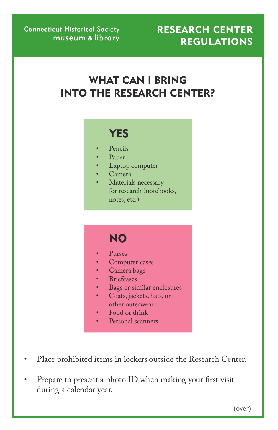#### reSearCH Center **REGULATIONS**

# WHAT CAN I BRING into tHe reSearCH Center?

# **YES**

- Pencils
- Paper
- Laptop computer
- • Camera
- Materials necessary for research (notebooks, notes, etc.)

# **NO**

- Purses
- Computer cases
- Camera bags
- • Briefcases
- Bags or similar enclosures
- Coats, jackets, hats, or other outerwear
- Food or drink
- Personal scanners
- Place prohibited items in lockers outside the Research Center.
- Prepare to present a photo ID when making your first visit during a calendar year.

(over)